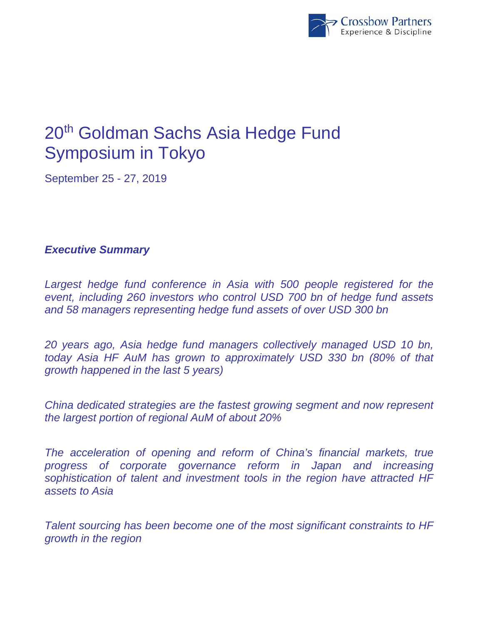

## 20th Goldman Sachs Asia Hedge Fund Symposium in Tokyo

September 25 - 27, 2019

## *Executive Summary*

Largest hedge fund conference in Asia with 500 people registered for the *event, including 260 investors who control USD 700 bn of hedge fund assets and 58 managers representing hedge fund assets of over USD 300 bn* 

*20 years ago, Asia hedge fund managers collectively managed USD 10 bn, today Asia HF AuM has grown to approximately USD 330 bn (80% of that growth happened in the last 5 years)* 

*China dedicated strategies are the fastest growing segment and now represent the largest portion of regional AuM of about 20%* 

*The acceleration of opening and reform of China's financial markets, true progress of corporate governance reform in Japan and increasing sophistication of talent and investment tools in the region have attracted HF assets to Asia* 

*Talent sourcing has been become one of the most significant constraints to HF growth in the region*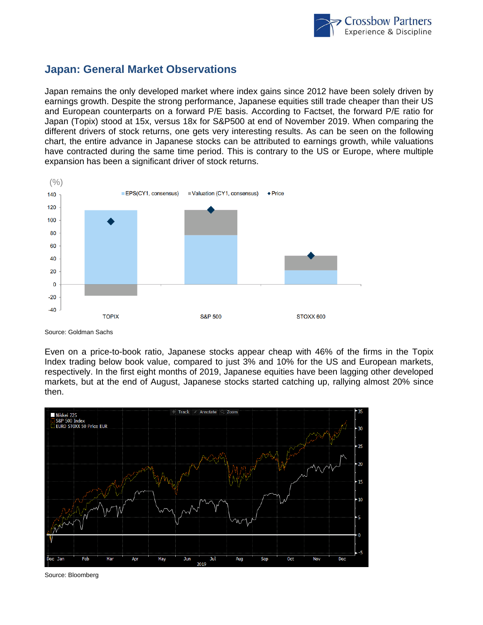

## **Japan: General Market Observations**

Japan remains the only developed market where index gains since 2012 have been solely driven by earnings growth. Despite the strong performance, Japanese equities still trade cheaper than their US and European counterparts on a forward P/E basis. According to Factset, the forward P/E ratio for Japan (Topix) stood at 15x, versus 18x for S&P500 at end of November 2019. When comparing the different drivers of stock returns, one gets very interesting results. As can be seen on the following chart, the entire advance in Japanese stocks can be attributed to earnings growth, while valuations have contracted during the same time period. This is contrary to the US or Europe, where multiple expansion has been a significant driver of stock returns.



Source: Goldman Sachs

Even on a price-to-book ratio, Japanese stocks appear cheap with 46% of the firms in the Topix Index trading below book value, compared to just 3% and 10% for the US and European markets, respectively. In the first eight months of 2019, Japanese equities have been lagging other developed markets, but at the end of August, Japanese stocks started catching up, rallying almost 20% since then.



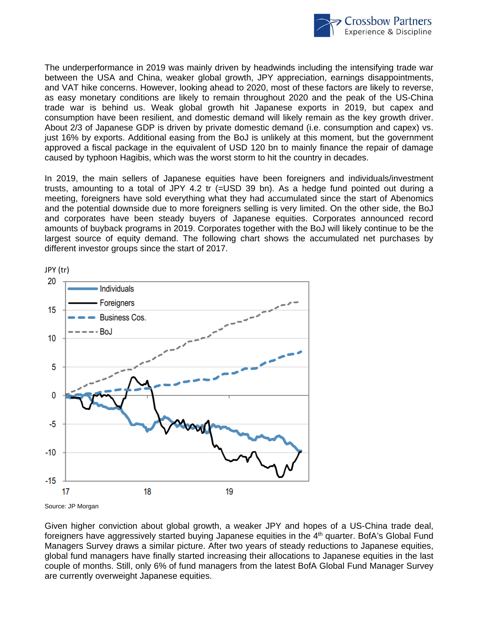

The underperformance in 2019 was mainly driven by headwinds including the intensifying trade war between the USA and China, weaker global growth, JPY appreciation, earnings disappointments, and VAT hike concerns. However, looking ahead to 2020, most of these factors are likely to reverse, as easy monetary conditions are likely to remain throughout 2020 and the peak of the US-China trade war is behind us. Weak global growth hit Japanese exports in 2019, but capex and consumption have been resilient, and domestic demand will likely remain as the key growth driver. About 2/3 of Japanese GDP is driven by private domestic demand (i.e. consumption and capex) vs. just 16% by exports. Additional easing from the BoJ is unlikely at this moment, but the government approved a fiscal package in the equivalent of USD 120 bn to mainly finance the repair of damage caused by typhoon Hagibis, which was the worst storm to hit the country in decades.

In 2019, the main sellers of Japanese equities have been foreigners and individuals/investment trusts, amounting to a total of JPY 4.2 tr (=USD 39 bn). As a hedge fund pointed out during a meeting, foreigners have sold everything what they had accumulated since the start of Abenomics and the potential downside due to more foreigners selling is very limited. On the other side, the BoJ and corporates have been steady buyers of Japanese equities. Corporates announced record amounts of buyback programs in 2019. Corporates together with the BoJ will likely continue to be the largest source of equity demand. The following chart shows the accumulated net purchases by different investor groups since the start of 2017.



Source: JP Morgan

Given higher conviction about global growth, a weaker JPY and hopes of a US-China trade deal, foreigners have aggressively started buying Japanese equities in the  $4<sup>th</sup>$  quarter. BofA's Global Fund Managers Survey draws a similar picture. After two years of steady reductions to Japanese equities, global fund managers have finally started increasing their allocations to Japanese equities in the last couple of months. Still, only 6% of fund managers from the latest BofA Global Fund Manager Survey are currently overweight Japanese equities.